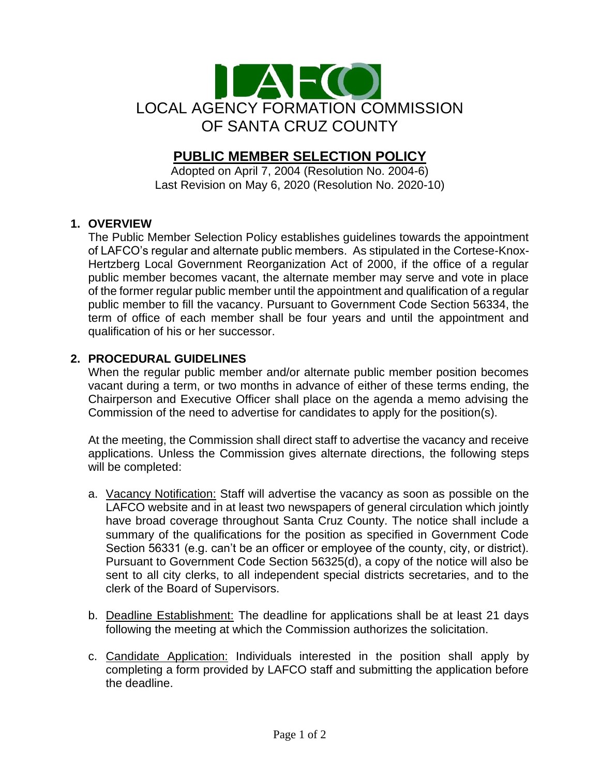

# **PUBLIC MEMBER SELECTION POLICY**

Adopted on April 7, 2004 (Resolution No. 2004-6) Last Revision on May 6, 2020 (Resolution No. 2020-10)

# **1. OVERVIEW**

The Public Member Selection Policy establishes guidelines towards the appointment of LAFCO's regular and alternate public members. As stipulated in the Cortese-Knox-Hertzberg Local Government Reorganization Act of 2000, if the office of a regular public member becomes vacant, the alternate member may serve and vote in place of the former regular public member until the appointment and qualification of a regular public member to fill the vacancy. Pursuant to Government Code Section 56334, the term of office of each member shall be four years and until the appointment and qualification of his or her successor.

# **2. PROCEDURAL GUIDELINES**

When the regular public member and/or alternate public member position becomes vacant during a term, or two months in advance of either of these terms ending, the Chairperson and Executive Officer shall place on the agenda a memo advising the Commission of the need to advertise for candidates to apply for the position(s).

At the meeting, the Commission shall direct staff to advertise the vacancy and receive applications. Unless the Commission gives alternate directions, the following steps will be completed:

- a. Vacancy Notification: Staff will advertise the vacancy as soon as possible on the LAFCO website and in at least two newspapers of general circulation which jointly have broad coverage throughout Santa Cruz County. The notice shall include a summary of the qualifications for the position as specified in Government Code Section 56331 (e.g. can't be an officer or employee of the county, city, or district). Pursuant to Government Code Section 56325(d), a copy of the notice will also be sent to all city clerks, to all independent special districts secretaries, and to the clerk of the Board of Supervisors.
- b. Deadline Establishment: The deadline for applications shall be at least 21 days following the meeting at which the Commission authorizes the solicitation.
- c. Candidate Application: Individuals interested in the position shall apply by completing a form provided by LAFCO staff and submitting the application before the deadline.